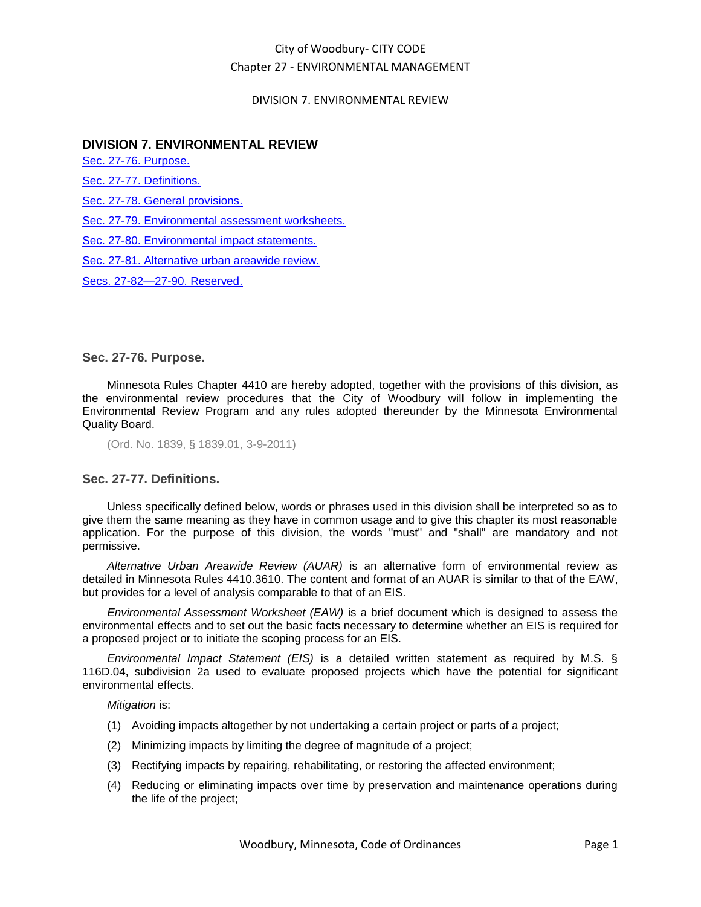# City of Woodbury- CITY CODE Chapter 27 - ENVIRONMENTAL MANAGEMENT

### DIVISION 7. ENVIRONMENTAL REVIEW

## **DIVISION 7. ENVIRONMENTAL REVIEW**

[Sec. 27-76. Purpose.](#page-0-0)

[Sec. 27-77. Definitions.](#page-0-1)

Sec. 27-78. [General provisions.](#page-1-0)

[Sec. 27-79. Environmental assessment worksheets.](#page-1-1)

[Sec. 27-80. Environmental impact statements.](#page-2-0)

[Sec. 27-81. Alternative urban areawide review.](#page-2-1)

[Secs. 27-82—27-90. Reserved.](#page-2-2)

### <span id="page-0-0"></span>**Sec. 27-76. Purpose.**

Minnesota Rules Chapter 4410 are hereby adopted, together with the provisions of this division, as the environmental review procedures that the City of Woodbury will follow in implementing the Environmental Review Program and any rules adopted thereunder by the Minnesota Environmental Quality Board.

(Ord. No. 1839, § 1839.01, 3-9-2011)

### <span id="page-0-1"></span>**Sec. 27-77. Definitions.**

Unless specifically defined below, words or phrases used in this division shall be interpreted so as to give them the same meaning as they have in common usage and to give this chapter its most reasonable application. For the purpose of this division, the words "must" and "shall" are mandatory and not permissive.

*Alternative Urban Areawide Review (AUAR)* is an alternative form of environmental review as detailed in Minnesota Rules 4410.3610. The content and format of an AUAR is similar to that of the EAW, but provides for a level of analysis comparable to that of an EIS.

*Environmental Assessment Worksheet (EAW)* is a brief document which is designed to assess the environmental effects and to set out the basic facts necessary to determine whether an EIS is required for a proposed project or to initiate the scoping process for an EIS.

*Environmental Impact Statement (EIS)* is a detailed written statement as required by M.S. § 116D.04, subdivision 2a used to evaluate proposed projects which have the potential for significant environmental effects.

*Mitigation* is:

- (1) Avoiding impacts altogether by not undertaking a certain project or parts of a project;
- (2) Minimizing impacts by limiting the degree of magnitude of a project;
- (3) Rectifying impacts by repairing, rehabilitating, or restoring the affected environment;
- (4) Reducing or eliminating impacts over time by preservation and maintenance operations during the life of the project;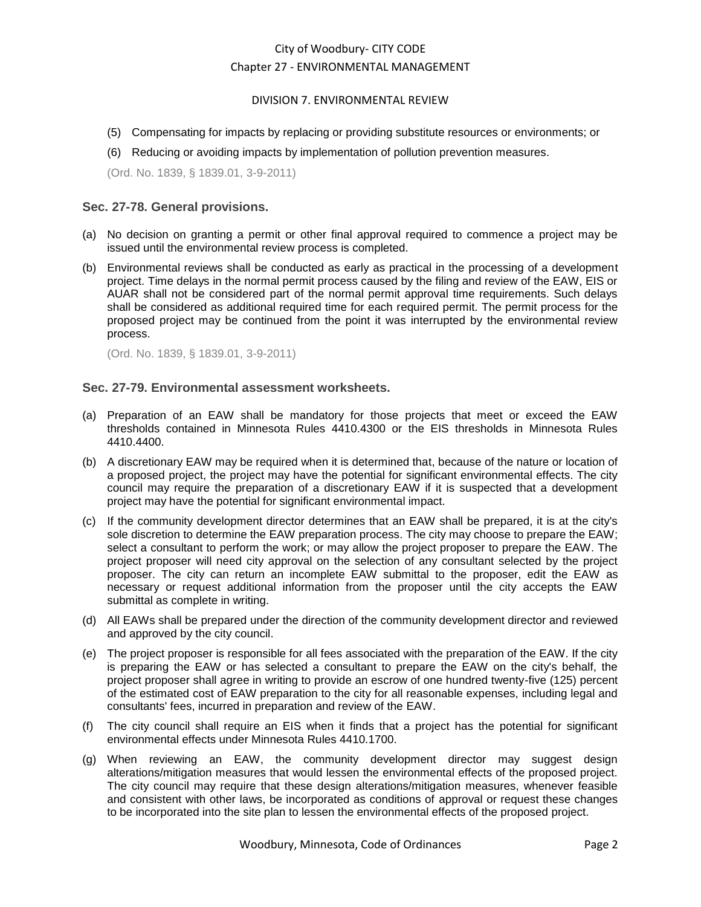# City of Woodbury- CITY CODE Chapter 27 - ENVIRONMENTAL MANAGEMENT

### DIVISION 7. ENVIRONMENTAL REVIEW

- (5) Compensating for impacts by replacing or providing substitute resources or environments; or
- (6) Reducing or avoiding impacts by implementation of pollution prevention measures.

(Ord. No. 1839, § 1839.01, 3-9-2011)

## <span id="page-1-0"></span>**Sec. 27-78. General provisions.**

- (a) No decision on granting a permit or other final approval required to commence a project may be issued until the environmental review process is completed.
- (b) Environmental reviews shall be conducted as early as practical in the processing of a development project. Time delays in the normal permit process caused by the filing and review of the EAW, EIS or AUAR shall not be considered part of the normal permit approval time requirements. Such delays shall be considered as additional required time for each required permit. The permit process for the proposed project may be continued from the point it was interrupted by the environmental review process.

(Ord. No. 1839, § 1839.01, 3-9-2011)

## <span id="page-1-1"></span>**Sec. 27-79. Environmental assessment worksheets.**

- (a) Preparation of an EAW shall be mandatory for those projects that meet or exceed the EAW thresholds contained in Minnesota Rules 4410.4300 or the EIS thresholds in Minnesota Rules 4410.4400.
- (b) A discretionary EAW may be required when it is determined that, because of the nature or location of a proposed project, the project may have the potential for significant environmental effects. The city council may require the preparation of a discretionary EAW if it is suspected that a development project may have the potential for significant environmental impact.
- (c) If the community development director determines that an EAW shall be prepared, it is at the city's sole discretion to determine the EAW preparation process. The city may choose to prepare the EAW; select a consultant to perform the work; or may allow the project proposer to prepare the EAW. The project proposer will need city approval on the selection of any consultant selected by the project proposer. The city can return an incomplete EAW submittal to the proposer, edit the EAW as necessary or request additional information from the proposer until the city accepts the EAW submittal as complete in writing.
- (d) All EAWs shall be prepared under the direction of the community development director and reviewed and approved by the city council.
- (e) The project proposer is responsible for all fees associated with the preparation of the EAW. If the city is preparing the EAW or has selected a consultant to prepare the EAW on the city's behalf, the project proposer shall agree in writing to provide an escrow of one hundred twenty-five (125) percent of the estimated cost of EAW preparation to the city for all reasonable expenses, including legal and consultants' fees, incurred in preparation and review of the EAW.
- (f) The city council shall require an EIS when it finds that a project has the potential for significant environmental effects under Minnesota Rules 4410.1700.
- (g) When reviewing an EAW, the community development director may suggest design alterations/mitigation measures that would lessen the environmental effects of the proposed project. The city council may require that these design alterations/mitigation measures, whenever feasible and consistent with other laws, be incorporated as conditions of approval or request these changes to be incorporated into the site plan to lessen the environmental effects of the proposed project.